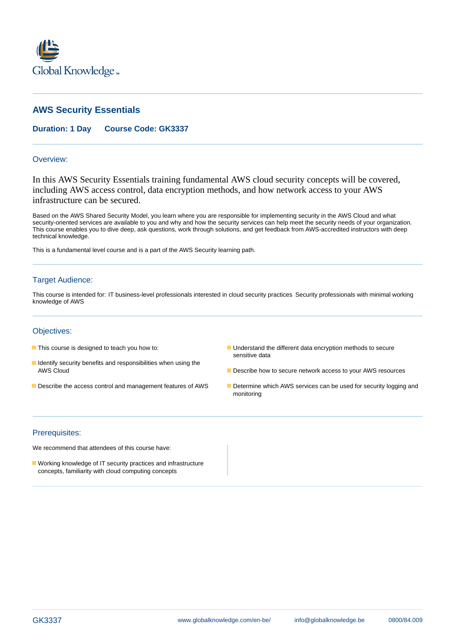

# **AWS Security Essentials**

## **Duration: 1 Day Course Code: GK3337**

#### Overview:

In this AWS Security Essentials training fundamental AWS cloud security concepts will be covered, including AWS access control, data encryption methods, and how network access to your AWS infrastructure can be secured.

Based on the AWS Shared Security Model, you learn where you are responsible for implementing security in the AWS Cloud and what security-oriented services are available to you and why and how the security services can help meet the security needs of your organization. This course enables you to dive deep, ask questions, work through solutions, and get feedback from AWS-accredited instructors with deep technical knowledge.

This is a fundamental level course and is a part of the AWS Security learning path.

### Target Audience:

This course is intended for: IT business-level professionals interested in cloud security practices Security professionals with minimal working knowledge of AWS

### Objectives:

- 
- **I** Identify security benefits and responsibilities when using the
- 
- This course is designed to teach you how to: Understand the different data encryption methods to secure sensitive data
	- AWS Cloud **Describe how to secure network access to your AWS resources**
- Describe the access control and management features of AWS Determine which AWS services can be used for security logging and monitoring

#### Prerequisites:

We recommend that attendees of this course have:

**Norking knowledge of IT security practices and infrastructure** concepts, familiarity with cloud computing concepts